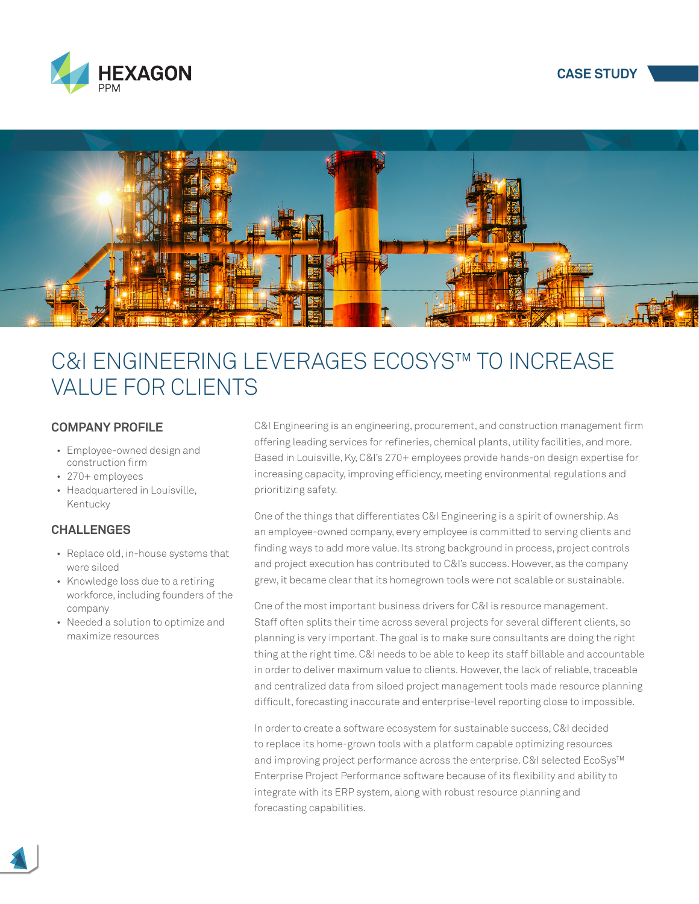





# C&I ENGINEERING LEVERAGES ECOSYS™ TO INCREASE VALUE FOR CLIENTS

### **COMPANY PROFILE**

- Employee-owned design and construction firm
- 270+ employees
- Headquartered in Louisville, Kentucky

## **CHALLENGES**

- Replace old, in-house systems that were siloed
- Knowledge loss due to a retiring workforce, including founders of the company
- Needed a solution to optimize and maximize resources

C&I Engineering is an engineering, procurement, and construction management firm offering leading services for refineries, chemical plants, utility facilities, and more. Based in Louisville, Ky, C&I's 270+ employees provide hands-on design expertise for increasing capacity, improving efficiency, meeting environmental regulations and prioritizing safety.

One of the things that differentiates C&I Engineering is a spirit of ownership. As an employee-owned company, every employee is committed to serving clients and finding ways to add more value. Its strong background in process, project controls and project execution has contributed to C&I's success. However, as the company grew, it became clear that its homegrown tools were not scalable or sustainable.

One of the most important business drivers for C&I is resource management. Staff often splits their time across several projects for several different clients, so planning is very important. The goal is to make sure consultants are doing the right thing at the right time. C&I needs to be able to keep its staff billable and accountable in order to deliver maximum value to clients. However, the lack of reliable, traceable and centralized data from siloed project management tools made resource planning difficult, forecasting inaccurate and enterprise-level reporting close to impossible.

In order to create a software ecosystem for sustainable success, C&I decided to replace its home-grown tools with a platform capable optimizing resources and improving project performance across the enterprise. C&I selected EcoSys™ Enterprise Project Performance software because of its flexibility and ability to integrate with its ERP system, along with robust resource planning and forecasting capabilities.